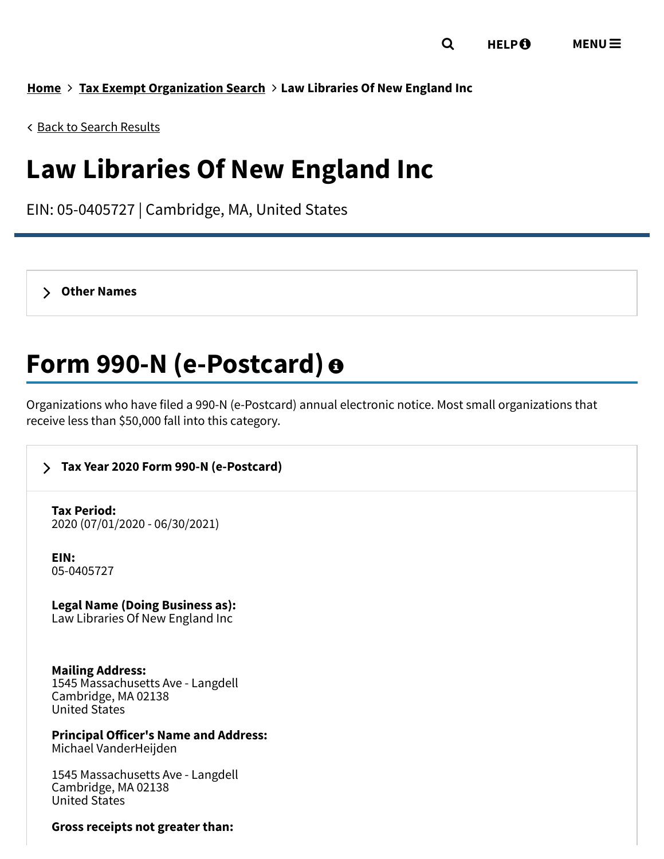**[Home](https://www.irs.gov/) Tax Exempt [Organization](https://apps.irs.gov/app/eos/) Search Law Libraries Of New England Inc**

Back to Search [Results](javascript: history.go(-1))

# **Law Libraries Of New England Inc**

EIN: 05-0405727 | Cambridge, MA, United States

**Other [Names](https://www.irs.gov/credits-deductions-for-individuals#otherNames00)**

# **Form 990-N (e-Postcard)**

Organizations who have filed a 990-N (e-Postcard) annual electronic notice. Most small organizations that receive less than \$50,000 fall into this category.

# **Tax Year 2020 Form 990-N [\(e-Postcard\)](https://www.irs.gov/credits-deductions-for-individuals#7243749)**

**Tax Period:** 2020 (07/01/2020 - 06/30/2021)

**EIN:** 05-0405727

**Legal Name (Doing Business as):** Law Libraries Of New England Inc

**Mailing Address:** 1545 Massachusetts Ave - Langdell Cambridge, MA 02138 United States

**Principal Officer's Name and Address:** Michael VanderHeijden

1545 Massachusetts Ave - Langdell Cambridge, MA 02138 United States

#### **Gross receipts not greater than:**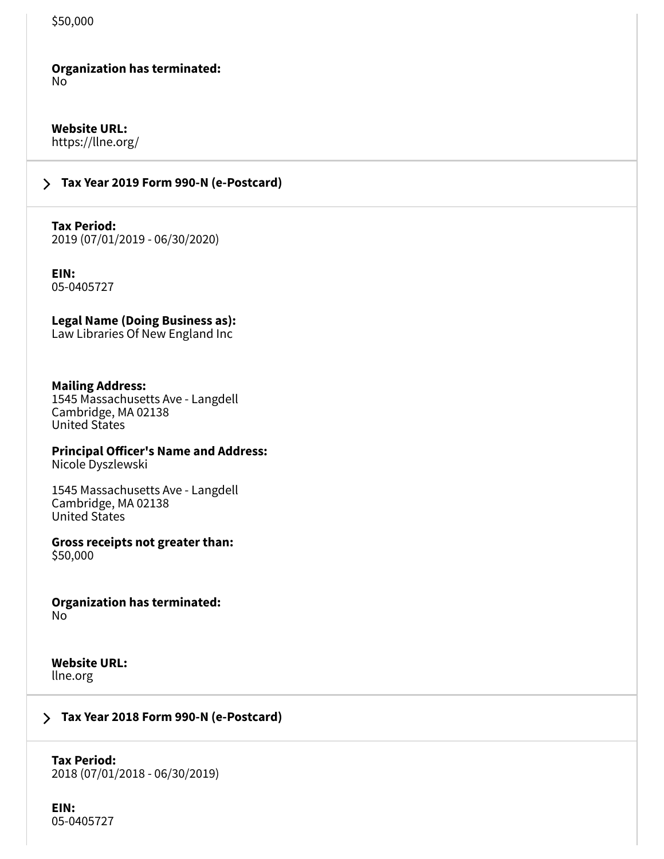### **Organization has terminated:**

No

**Website URL:** https://llne.org/

# **Tax Year 2019 Form 990-N [\(e-Postcard\)](https://www.irs.gov/credits-deductions-for-individuals#6554229)**

**Tax Period:** 2019 (07/01/2019 - 06/30/2020)

**EIN:** 05-0405727

**Legal Name (Doing Business as):** Law Libraries Of New England Inc

#### **Mailing Address:**

1545 Massachusetts Ave - Langdell Cambridge, MA 02138 United States

### **Principal Officer's Name and Address:**

Nicole Dyszlewski

1545 Massachusetts Ave - Langdell Cambridge, MA 02138 United States

**Gross receipts not greater than:** \$50,000

**Organization has terminated:** No

#### **Website URL:** llne.org

# **Tax Year 2018 Form 990-N [\(e-Postcard\)](https://www.irs.gov/credits-deductions-for-individuals#5898887)**

**Tax Period:** 2018 (07/01/2018 - 06/30/2019)

**EIN:** 05-0405727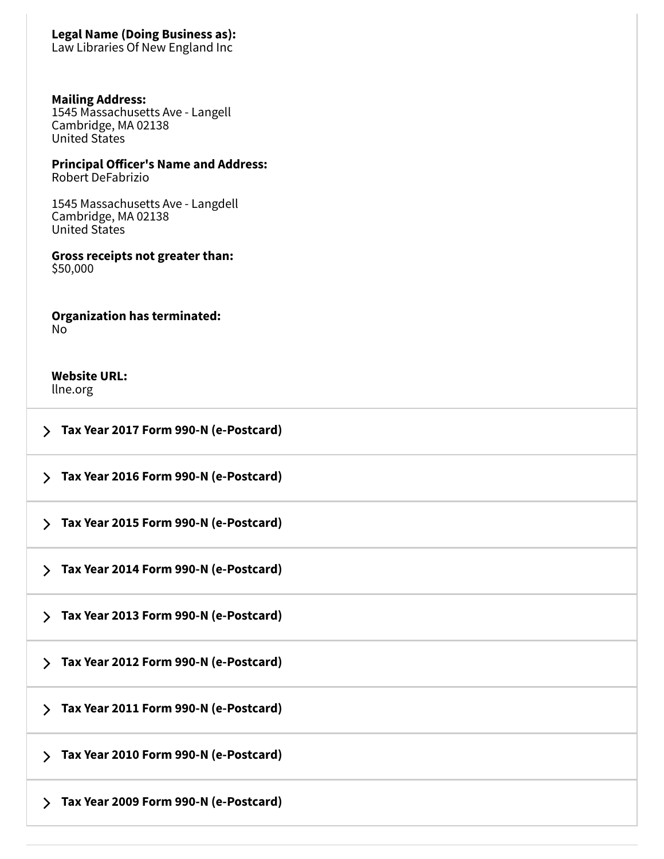### **Legal Name (Doing Business as):**

Law Libraries Of New England Inc

#### **Mailing Address:**

1545 Massachusetts Ave - Langell Cambridge, MA 02138 United States

## **Principal Officer's Name and Address:**

Robert DeFabrizio

1545 Massachusetts Ave - Langdell Cambridge, MA 02138 United States

#### **Gross receipts not greater than:** \$50,000

**Organization has terminated:** No

### **Website URL:**

llne.org

**Tax Year 2017 Form 990-N [\(e-Postcard\)](https://www.irs.gov/credits-deductions-for-individuals#5259978)**

**Tax Year 2016 Form 990-N [\(e-Postcard\)](https://www.irs.gov/credits-deductions-for-individuals#4605563)**

**Tax Year 2015 Form 990-N [\(e-Postcard\)](https://www.irs.gov/credits-deductions-for-individuals#3981888)**

**Tax Year 2014 Form 990-N [\(e-Postcard\)](https://www.irs.gov/credits-deductions-for-individuals#3425831)**

**Tax Year 2013 Form 990-N [\(e-Postcard\)](https://www.irs.gov/credits-deductions-for-individuals#2862972)**

**Tax Year 2012 Form 990-N [\(e-Postcard\)](https://www.irs.gov/credits-deductions-for-individuals#2215689)**

**Tax Year 2011 Form 990-N [\(e-Postcard\)](https://www.irs.gov/credits-deductions-for-individuals#1709658)**

**Tax Year 2010 Form 990-N [\(e-Postcard\)](https://www.irs.gov/credits-deductions-for-individuals#1502882)**

**Tax Year 2009 Form 990-N [\(e-Postcard\)](https://www.irs.gov/credits-deductions-for-individuals#1495637)**